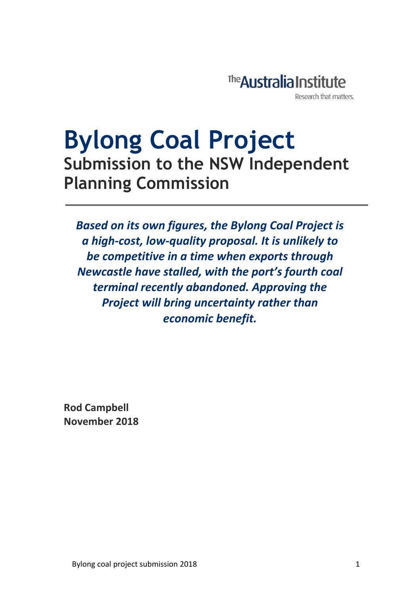

## **Bylong Coal Project Submission to the NSW Independent Planning Commission**

*Based on its own figures, the Bylong Coal Project is a high-cost, low-quality proposal. It is unlikely to be competitive in a time when exports through Newcastle have stalled, with the port's fourth coal terminal recently abandoned. Approving the Project will bring uncertainty rather than economic benefit.*

**Rod Campbell November 2018**

j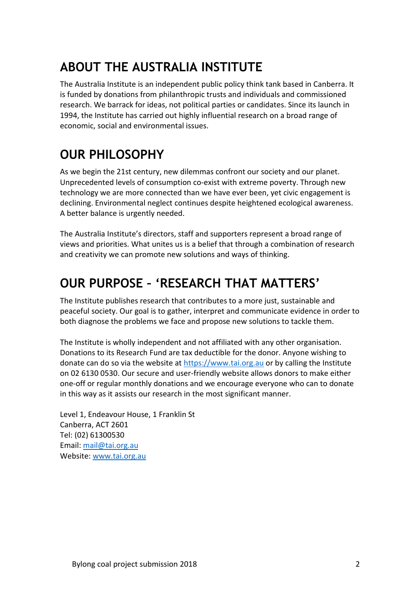### **ABOUT THE AUSTRALIA INSTITUTE**

The Australia Institute is an independent public policy think tank based in Canberra. It is funded by donations from philanthropic trusts and individuals and commissioned research. We barrack for ideas, not political parties or candidates. Since its launch in 1994, the Institute has carried out highly influential research on a broad range of economic, social and environmental issues.

### **OUR PHILOSOPHY**

As we begin the 21st century, new dilemmas confront our society and our planet. Unprecedented levels of consumption co-exist with extreme poverty. Through new technology we are more connected than we have ever been, yet civic engagement is declining. Environmental neglect continues despite heightened ecological awareness. A better balance is urgently needed.

The Australia Institute's directors, staff and supporters represent a broad range of views and priorities. What unites us is a belief that through a combination of research and creativity we can promote new solutions and ways of thinking.

### **OUR PURPOSE – 'RESEARCH THAT MATTERS'**

The Institute publishes research that contributes to a more just, sustainable and peaceful society. Our goal is to gather, interpret and communicate evidence in order to both diagnose the problems we face and propose new solutions to tackle them.

The Institute is wholly independent and not affiliated with any other organisation. Donations to its Research Fund are tax deductible for the donor. Anyone wishing to donate can do so via the website at [https://www.tai.org.au](https://www.tai.org.au/) or by calling the Institute on 02 6130 0530. Our secure and user-friendly website allows donors to make either one-off or regular monthly donations and we encourage everyone who can to donate in this way as it assists our research in the most significant manner.

Level 1, Endeavour House, 1 Franklin St Canberra, ACT 2601 Tel: (02) 61300530 Email[: mail@tai.org.au](mailto:mail@tai.org.au) Website: [www.tai.org.au](http://www.tai.org.au/)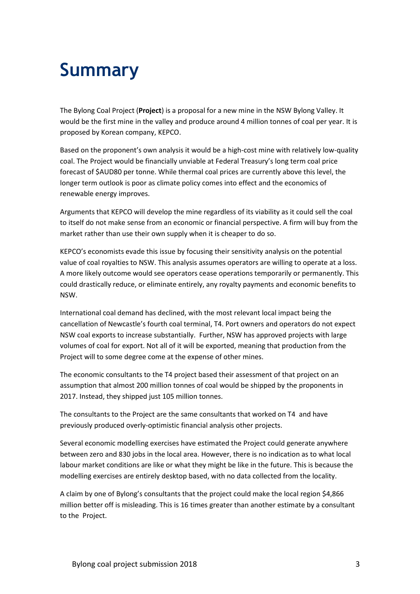## **Summary**

The Bylong Coal Project (**Project**) is a proposal for a new mine in the NSW Bylong Valley. It would be the first mine in the valley and produce around 4 million tonnes of coal per year. It is proposed by Korean company, KEPCO.

Based on the proponent's own analysis it would be a high-cost mine with relatively low-quality coal. The Project would be financially unviable at Federal Treasury's long term coal price forecast of \$AUD80 per tonne. While thermal coal prices are currently above this level, the longer term outlook is poor as climate policy comes into effect and the economics of renewable energy improves.

Arguments that KEPCO will develop the mine regardless of its viability as it could sell the coal to itself do not make sense from an economic or financial perspective. A firm will buy from the market rather than use their own supply when it is cheaper to do so.

KEPCO's economists evade this issue by focusing their sensitivity analysis on the potential value of coal royalties to NSW. This analysis assumes operators are willing to operate at a loss. A more likely outcome would see operators cease operations temporarily or permanently. This could drastically reduce, or eliminate entirely, any royalty payments and economic benefits to NSW.

International coal demand has declined, with the most relevant local impact being the cancellation of Newcastle's fourth coal terminal, T4. Port owners and operators do not expect NSW coal exports to increase substantially. Further, NSW has approved projects with large volumes of coal for export. Not all of it will be exported, meaning that production from the Project will to some degree come at the expense of other mines.

The economic consultants to the T4 project based their assessment of that project on an assumption that almost 200 million tonnes of coal would be shipped by the proponents in 2017. Instead, they shipped just 105 million tonnes.

The consultants to the Project are the same consultants that worked on T4 and have previously produced overly-optimistic financial analysis other projects.

Several economic modelling exercises have estimated the Project could generate anywhere between zero and 830 jobs in the local area. However, there is no indication as to what local labour market conditions are like or what they might be like in the future. This is because the modelling exercises are entirely desktop based, with no data collected from the locality.

A claim by one of Bylong's consultants that the project could make the local region \$4,866 million better off is misleading. This is 16 times greater than another estimate by a consultant to the Project.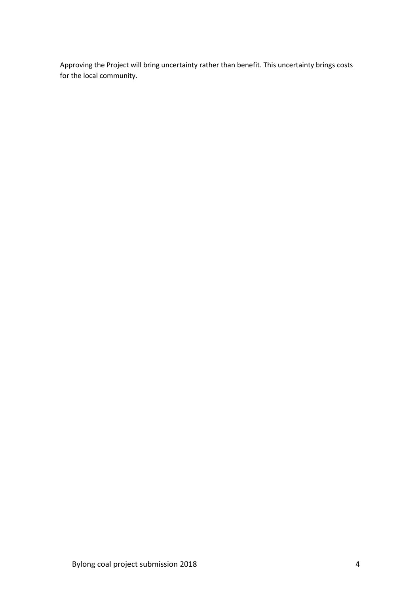Approving the Project will bring uncertainty rather than benefit. This uncertainty brings costs for the local community.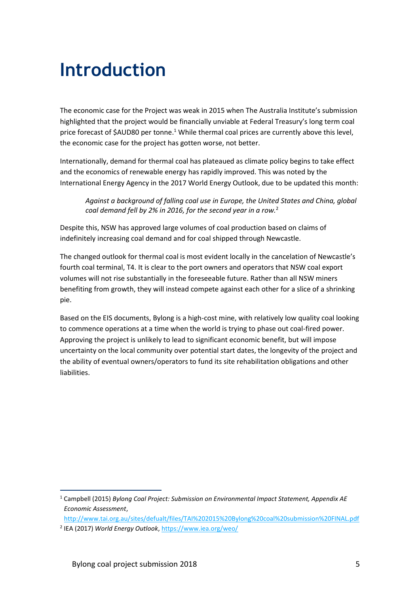### **Introduction**

The economic case for the Project was weak in 2015 when The Australia Institute's submission highlighted that the project would be financially unviable at Federal Treasury's long term coal price forecast of  $$AUD80$  per tonne.<sup>1</sup> While thermal coal prices are currently above this level, the economic case for the project has gotten worse, not better.

Internationally, demand for thermal coal has plateaued as climate policy begins to take effect and the economics of renewable energy has rapidly improved. This was noted by the International Energy Agency in the 2017 World Energy Outlook, due to be updated this month:

*Against a background of falling coal use in Europe, the United States and China, global coal demand fell by 2% in 2016, for the second year in a row.*<sup>2</sup>

Despite this, NSW has approved large volumes of coal production based on claims of indefinitely increasing coal demand and for coal shipped through Newcastle.

The changed outlook for thermal coal is most evident locally in the cancelation of Newcastle's fourth coal terminal, T4. It is clear to the port owners and operators that NSW coal export volumes will not rise substantially in the foreseeable future. Rather than all NSW miners benefiting from growth, they will instead compete against each other for a slice of a shrinking pie.

Based on the EIS documents, Bylong is a high-cost mine, with relatively low quality coal looking to commence operations at a time when the world is trying to phase out coal-fired power. Approving the project is unlikely to lead to significant economic benefit, but will impose uncertainty on the local community over potential start dates, the longevity of the project and the ability of eventual owners/operators to fund its site rehabilitation obligations and other liabilities.

<sup>1</sup> <sup>1</sup> Campbell (2015) *Bylong Coal Project: Submission on Environmental Impact Statement, Appendix AE Economic Assessment*,

<http://www.tai.org.au/sites/defualt/files/TAI%202015%20Bylong%20coal%20submission%20FINAL.pdf>

<sup>2</sup> IEA (2017) *World Energy Outlook*,<https://www.iea.org/weo/>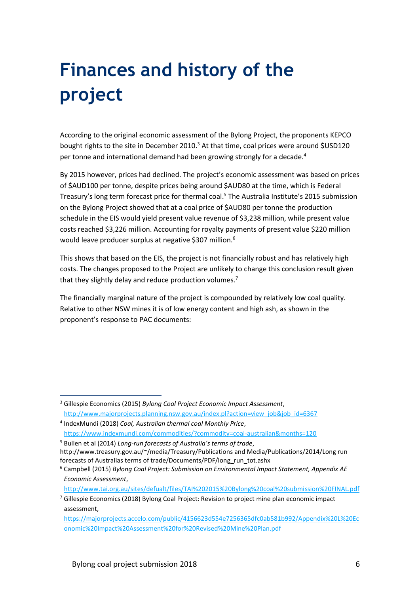# **Finances and history of the project**

According to the original economic assessment of the Bylong Project, the proponents KEPCO bought rights to the site in December 2010.<sup>3</sup> At that time, coal prices were around \$USD120 per tonne and international demand had been growing strongly for a decade.<sup>4</sup>

By 2015 however, prices had declined. The project's economic assessment was based on prices of \$AUD100 per tonne, despite prices being around \$AUD80 at the time, which is Federal Treasury's long term forecast price for thermal coal.<sup>5</sup> The Australia Institute's 2015 submission on the Bylong Project showed that at a coal price of \$AUD80 per tonne the production schedule in the EIS would yield present value revenue of \$3,238 million, while present value costs reached \$3,226 million. Accounting for royalty payments of present value \$220 million would leave producer surplus at negative \$307 million.<sup>6</sup>

This shows that based on the EIS, the project is not financially robust and has relatively high costs. The changes proposed to the Project are unlikely to change this conclusion result given that they slightly delay and reduce production volumes.<sup>7</sup>

The financially marginal nature of the project is compounded by relatively low coal quality. Relative to other NSW mines it is of low energy content and high ash, as shown in the proponent's response to PAC documents:

j

<http://www.tai.org.au/sites/defualt/files/TAI%202015%20Bylong%20coal%20submission%20FINAL.pdf>

<sup>3</sup> Gillespie Economics (2015) *Bylong Coal Project Economic Impact Assessment*, [http://www.majorprojects.planning.nsw.gov.au/index.pl?action=view\\_job&job\\_id=6367](http://www.majorprojects.planning.nsw.gov.au/index.pl?action=view_job&job_id=6367)

<sup>4</sup> IndexMundi (2018) *Coal, Australian thermal coal Monthly Price*, <https://www.indexmundi.com/commodities/?commodity=coal-australian&months=120>

<sup>5</sup> Bullen et al (2014) *Long-run forecasts of Australia's terms of trade*,

http://www.treasury.gov.au/~/media/Treasury/Publications and Media/Publications/2014/Long run forecasts of Australias terms of trade/Documents/PDF/long\_run\_tot.ashx

<sup>6</sup> Campbell (2015) *Bylong Coal Project: Submission on Environmental Impact Statement, Appendix AE Economic Assessment*,

 $7$  Gillespie Economics (2018) Bylong Coal Project: Revision to project mine plan economic impact assessment,

[https://majorprojects.accelo.com/public/4156623d554e7256365dfc0ab581b992/Appendix%20L%20Ec](https://majorprojects.accelo.com/public/4156623d554e7256365dfc0ab581b992/Appendix%20L%20Economic%20Impact%20Assessment%20for%20Revised%20Mine%20Plan.pdf) [onomic%20Impact%20Assessment%20for%20Revised%20Mine%20Plan.pdf](https://majorprojects.accelo.com/public/4156623d554e7256365dfc0ab581b992/Appendix%20L%20Economic%20Impact%20Assessment%20for%20Revised%20Mine%20Plan.pdf)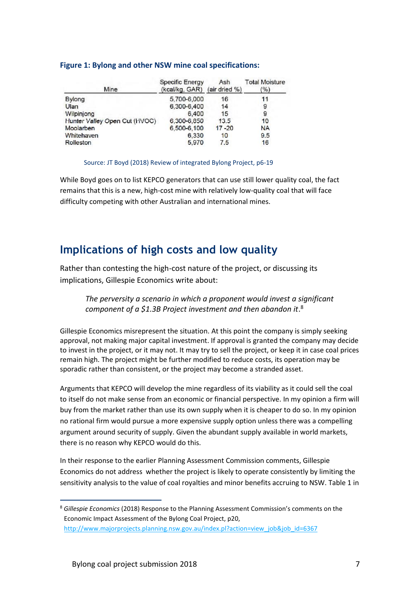#### **Figure 1: Bylong and other NSW mine coal specifications:**

| Mine                          | <b>Specific Energy</b><br>(kcal/kg, GAR) | Ash<br>(air dried %) | <b>Total Moisture</b><br>(%) |  |
|-------------------------------|------------------------------------------|----------------------|------------------------------|--|
| <b>Bylong</b>                 | 5,700-6,000                              | 16                   | 11                           |  |
| Ulan                          | 6,300-6,400                              | 14                   | 9                            |  |
| Wilpinjong                    | 6,400                                    | 15                   | 9                            |  |
| Hunter Valley Open Cut (HVOC) | 6,300-6,850                              | 13.5                 | 10                           |  |
| Moolarben                     | 6.500-6.100                              | $17 - 20$            | <b>NA</b>                    |  |
| Whitehaven                    | 6,330                                    | 10                   | 9.5                          |  |
| Rolleston                     | 5,970                                    | 7.5                  | 16                           |  |

#### Source: JT Boyd (2018) Review of integrated Bylong Project, p6-19

While Boyd goes on to list KEPCO generators that can use still lower quality coal, the fact remains that this is a new, high-cost mine with relatively low-quality coal that will face difficulty competing with other Australian and international mines.

### **Implications of high costs and low quality**

Rather than contesting the high-cost nature of the project, or discussing its implications, Gillespie Economics write about:

*The perversity a scenario in which a proponent would invest a significant*  component of a \$1.3B Project investment and then abandon it.<sup>8</sup>

Gillespie Economics misrepresent the situation. At this point the company is simply seeking approval, not making major capital investment. If approval is granted the company may decide to invest in the project, or it may not. It may try to sell the project, or keep it in case coal prices remain high. The project might be further modified to reduce costs, its operation may be sporadic rather than consistent, or the project may become a stranded asset.

Arguments that KEPCO will develop the mine regardless of its viability as it could sell the coal to itself do not make sense from an economic or financial perspective. In my opinion a firm will buy from the market rather than use its own supply when it is cheaper to do so. In my opinion no rational firm would pursue a more expensive supply option unless there was a compelling argument around security of supply. Given the abundant supply available in world markets, there is no reason why KEPCO would do this.

In their response to the earlier Planning Assessment Commission comments, Gillespie Economics do not address whether the project is likely to operate consistently by limiting the sensitivity analysis to the value of coal royalties and minor benefits accruing to NSW. Table 1 in

1

<sup>8</sup> *Gillespie Economics* (2018) Response to the Planning Assessment Commission's comments on the Economic Impact Assessment of the Bylong Coal Project, p20, [http://www.majorprojects.planning.nsw.gov.au/index.pl?action=view\\_job&job\\_id=6367](http://www.majorprojects.planning.nsw.gov.au/index.pl?action=view_job&job_id=6367)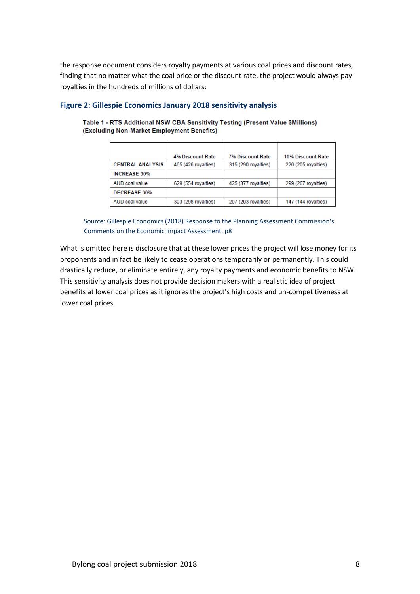the response document considers royalty payments at various coal prices and discount rates, finding that no matter what the coal price or the discount rate, the project would always pay royalties in the hundreds of millions of dollars:

|                         | 4% Discount Rate    | <b>7% Discount Rate</b> | 10% Discount Rate   |
|-------------------------|---------------------|-------------------------|---------------------|
| <b>CENTRAL ANALYSIS</b> | 465 (426 royalties) | 315 (290 royalties)     | 220 (205 royalties) |
| <b>INCREASE 30%</b>     |                     |                         |                     |
| AUD coal value          | 629 (554 royalties) | 425 (377 royalties)     | 299 (267 royalties) |
| <b>DECREASE 30%</b>     |                     |                         |                     |
| AUD coal value          | 303 (298 royalties) | 207 (203 royalties)     | 147 (144 royalties) |

#### **Figure 2: Gillespie Economics January 2018 sensitivity analysis**

Table 1 - RTS Additional NSW CBA Sensitivity Testing (Present Value \$Millions) (Excluding Non-Market Employment Benefits)

Source: Gillespie Economics (2018) Response to the Planning Assessment Commission's Comments on the Economic Impact Assessment, p8

What is omitted here is disclosure that at these lower prices the project will lose money for its proponents and in fact be likely to cease operations temporarily or permanently. This could drastically reduce, or eliminate entirely, any royalty payments and economic benefits to NSW. This sensitivity analysis does not provide decision makers with a realistic idea of project benefits at lower coal prices as it ignores the project's high costs and un-competitiveness at lower coal prices.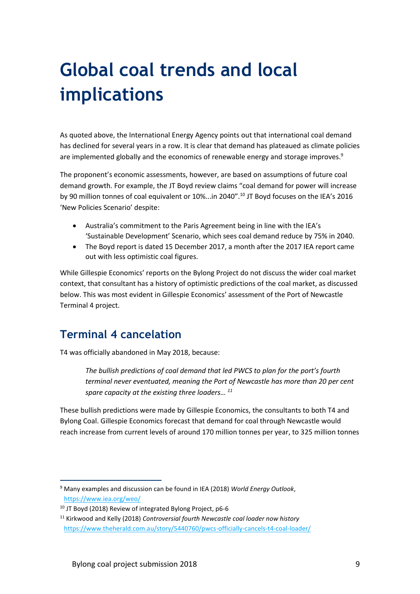# **Global coal trends and local implications**

As quoted above, the International Energy Agency points out that international coal demand has declined for several years in a row. It is clear that demand has plateaued as climate policies are implemented globally and the economics of renewable energy and storage improves.<sup>9</sup>

The proponent's economic assessments, however, are based on assumptions of future coal demand growth. For example, the JT Boyd review claims "coal demand for power will increase by 90 million tonnes of coal equivalent or 10%...in 2040".<sup>10</sup> JT Boyd focuses on the IEA's 2016 'New Policies Scenario' despite:

- Australia's commitment to the Paris Agreement being in line with the IEA's 'Sustainable Development' Scenario, which sees coal demand reduce by 75% in 2040.
- The Boyd report is dated 15 December 2017, a month after the 2017 IEA report came out with less optimistic coal figures.

While Gillespie Economics' reports on the Bylong Project do not discuss the wider coal market context, that consultant has a history of optimistic predictions of the coal market, as discussed below. This was most evident in Gillespie Economics' assessment of the Port of Newcastle Terminal 4 project.

### **Terminal 4 cancelation**

1

T4 was officially abandoned in May 2018, because:

*The bullish predictions of coal demand that led PWCS to plan for the port's fourth terminal never eventuated, meaning the Port of Newcastle has more than 20 per cent spare capacity at the existing three loaders… <sup>11</sup>*

These bullish predictions were made by Gillespie Economics, the consultants to both T4 and Bylong Coal. Gillespie Economics forecast that demand for coal through Newcastle would reach increase from current levels of around 170 million tonnes per year, to 325 million tonnes

<sup>9</sup> Many examples and discussion can be found in IEA (2018) *World Energy Outlook*, <https://www.iea.org/weo/>

<sup>&</sup>lt;sup>10</sup> JT Boyd (2018) Review of integrated Bylong Project, p6-6

<sup>11</sup> Kirkwood and Kelly (2018) *Controversial fourth Newcastle coal loader now history*  <https://www.theherald.com.au/story/5440760/pwcs-officially-cancels-t4-coal-loader/>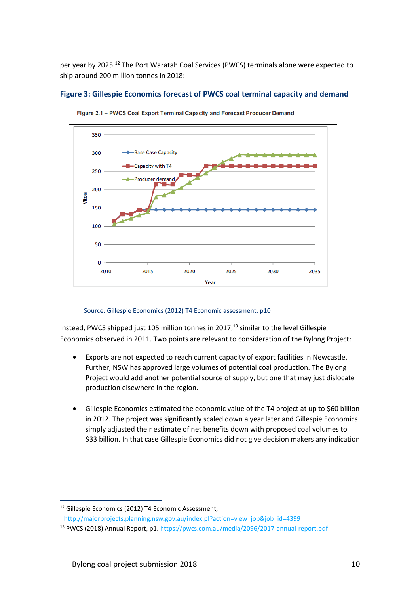per year by 2025.<sup>12</sup> The Port Waratah Coal Services (PWCS) terminals alone were expected to ship around 200 million tonnes in 2018:

#### **Figure 3: Gillespie Economics forecast of PWCS coal terminal capacity and demand**



Figure 2.1 - PWCS Coal Export Terminal Capacity and Forecast Producer Demand

#### Source: Gillespie Economics (2012) T4 Economic assessment, p10

Instead, PWCS shipped just 105 million tonnes in 2017, $^{13}$  similar to the level Gillespie Economics observed in 2011. Two points are relevant to consideration of the Bylong Project:

- Exports are not expected to reach current capacity of export facilities in Newcastle. Further, NSW has approved large volumes of potential coal production. The Bylong Project would add another potential source of supply, but one that may just dislocate production elsewhere in the region.
- Gillespie Economics estimated the economic value of the T4 project at up to \$60 billion in 2012. The project was significantly scaled down a year later and Gillespie Economics simply adjusted their estimate of net benefits down with proposed coal volumes to \$33 billion. In that case Gillespie Economics did not give decision makers any indication

<sup>1</sup> <sup>12</sup> Gillespie Economics (2012) T4 Economic Assessment.

[http://majorprojects.planning.nsw.gov.au/index.pl?action=view\\_job&job\\_id=4399](http://majorprojects.planning.nsw.gov.au/index.pl?action=view_job&job_id=4399)

<sup>&</sup>lt;sup>13</sup> PWCS (2018) Annual Report, p1.<https://pwcs.com.au/media/2096/2017-annual-report.pdf>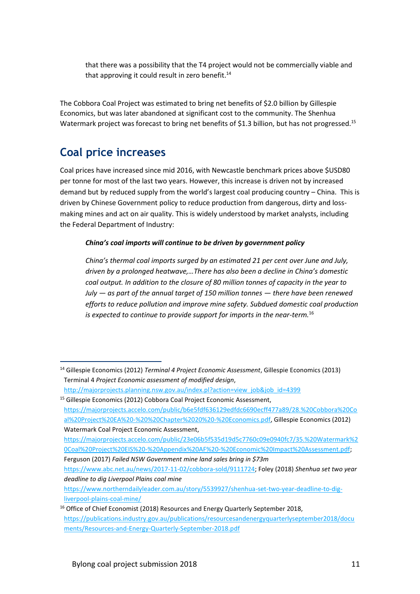that there was a possibility that the T4 project would not be commercially viable and that approving it could result in zero benefit. $14$ 

The Cobbora Coal Project was estimated to bring net benefits of \$2.0 billion by Gillespie Economics, but was later abandoned at significant cost to the community. The Shenhua Watermark project was forecast to bring net benefits of \$1.3 billion, but has not progressed.<sup>15</sup>

### **Coal price increases**

1

Coal prices have increased since mid 2016, with Newcastle benchmark prices above \$USD80 per tonne for most of the last two years. However, this increase is driven not by increased demand but by reduced supply from the world's largest coal producing country – China. This is driven by Chinese Government policy to reduce production from dangerous, dirty and lossmaking mines and act on air quality. This is widely understood by market analysts, including the Federal Department of Industry:

### *China's coal imports will continue to be driven by government policy*

*China's thermal coal imports surged by an estimated 21 per cent over June and July, driven by a prolonged heatwave,…There has also been a decline in China's domestic coal output. In addition to the closure of 80 million tonnes of capacity in the year to July — as part of the annual target of 150 million tonnes — there have been renewed efforts to reduce pollution and improve mine safety. Subdued domestic coal production is expected to continue to provide support for imports in the near-term.*<sup>16</sup>

<sup>14</sup> Gillespie Economics (2012) *Terminal 4 Project Economic Assessment*, Gillespie Economics (2013) Terminal 4 *Project Economic assessment of modified design*, [http://majorprojects.planning.nsw.gov.au/index.pl?action=view\\_job&job\\_id=4399](http://majorprojects.planning.nsw.gov.au/index.pl?action=view_job&job_id=4399)

<sup>&</sup>lt;sup>15</sup> Gillespie Economics (2012) Cobbora Coal Project Economic Assessment, [https://majorprojects.accelo.com/public/b6e5fdf636129edfdc6690ecff477a89/28.%20Cobbora%20Co](https://majorprojects.accelo.com/public/b6e5fdf636129edfdc6690ecff477a89/28.%20Cobbora%20Coal%20Project%20EA%20-%20%20Chapter%2020%20-%20Economics.pdf) [al%20Project%20EA%20-%20%20Chapter%2020%20-%20Economics.pdf,](https://majorprojects.accelo.com/public/b6e5fdf636129edfdc6690ecff477a89/28.%20Cobbora%20Coal%20Project%20EA%20-%20%20Chapter%2020%20-%20Economics.pdf) Gillespie Economics (2012) Watermark Coal Project Economic Assessment, [https://majorprojects.accelo.com/public/23e06b5f535d19d5c7760c09e0940fc7/35.%20Watermark%2](https://majorprojects.accelo.com/public/23e06b5f535d19d5c7760c09e0940fc7/35.%20Watermark%20Coal%20Project%20EIS%20-%20Appendix%20AF%20-%20Economic%20Impact%20Assessment.pdf) [0Coal%20Project%20EIS%20-%20Appendix%20AF%20-%20Economic%20Impact%20Assessment.pdf;](https://majorprojects.accelo.com/public/23e06b5f535d19d5c7760c09e0940fc7/35.%20Watermark%20Coal%20Project%20EIS%20-%20Appendix%20AF%20-%20Economic%20Impact%20Assessment.pdf) Ferguson (2017) *Failed NSW Government mine land sales bring in \$73m*

[https://www.abc.net.au/news/2017-11-02/cobbora-sold/9111724;](https://www.abc.net.au/news/2017-11-02/cobbora-sold/9111724) Foley (2018) *Shenhua set two year deadline to dig Liverpool Plains coal mine*

[https://www.northerndailyleader.com.au/story/5539927/shenhua-set-two-year-deadline-to-dig](https://www.northerndailyleader.com.au/story/5539927/shenhua-set-two-year-deadline-to-dig-liverpool-plains-coal-mine/)[liverpool-plains-coal-mine/](https://www.northerndailyleader.com.au/story/5539927/shenhua-set-two-year-deadline-to-dig-liverpool-plains-coal-mine/) 

<sup>&</sup>lt;sup>16</sup> Office of Chief Economist (2018) Resources and Energy Quarterly September 2018. [https://publications.industry.gov.au/publications/resourcesandenergyquarterlyseptember2018/docu](https://publications.industry.gov.au/publications/resourcesandenergyquarterlyseptember2018/documents/Resources-and-Energy-Quarterly-September-2018.pdf) [ments/Resources-and-Energy-Quarterly-September-2018.pdf](https://publications.industry.gov.au/publications/resourcesandenergyquarterlyseptember2018/documents/Resources-and-Energy-Quarterly-September-2018.pdf)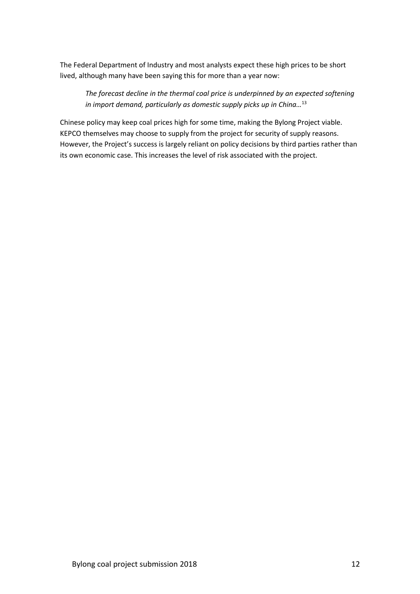The Federal Department of Industry and most analysts expect these high prices to be short lived, although many have been saying this for more than a year now:

*The forecast decline in the thermal coal price is underpinned by an expected softening in import demand, particularly as domestic supply picks up in China…*<sup>13</sup>

Chinese policy may keep coal prices high for some time, making the Bylong Project viable. KEPCO themselves may choose to supply from the project for security of supply reasons. However, the Project's success is largely reliant on policy decisions by third parties rather than its own economic case. This increases the level of risk associated with the project.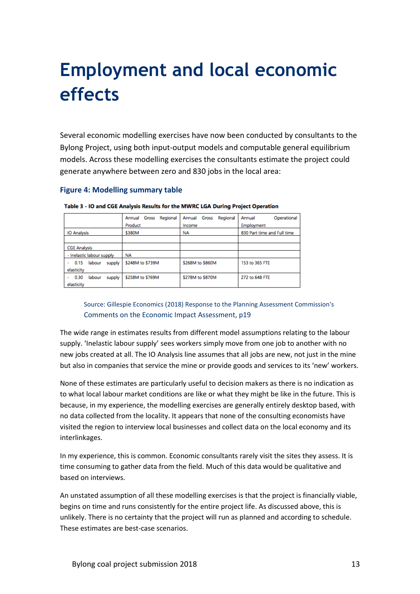# **Employment and local economic effects**

Several economic modelling exercises have now been conducted by consultants to the Bylong Project, using both input-output models and computable general equilibrium models. Across these modelling exercises the consultants estimate the project could generate anywhere between zero and 830 jobs in the local area:

#### **Figure 4: Modelling summary table**

|                                             | Regional<br>Annual Gross<br>Product | Gross<br>Regional<br>Annual<br>Income | Operational<br>Annual<br>Employment |
|---------------------------------------------|-------------------------------------|---------------------------------------|-------------------------------------|
| <b>IO Analysis</b>                          | \$380M                              | <b>NA</b>                             | 830 Part time and Full time         |
|                                             |                                     |                                       |                                     |
| <b>CGE Analysis</b>                         |                                     |                                       |                                     |
| - Inelastic labour supply                   | <b>NA</b>                           |                                       |                                     |
| 0.15<br>labour<br>supply<br>٠<br>elasticity | \$248M to \$739M                    | \$268M to \$860M                      | 153 to 365 FTE                      |
| 0.30<br>labour<br>supply<br>elasticity      | \$258M to \$769M                    | \$278M to \$870M                      | 272 to 648 FTE                      |

Table 3 - IO and CGE Analysis Results for the MWRC LGA During Project Operation

### Source: Gillespie Economics (2018) Response to the Planning Assessment Commission's Comments on the Economic Impact Assessment, p19

The wide range in estimates results from different model assumptions relating to the labour supply. 'Inelastic labour supply' sees workers simply move from one job to another with no new jobs created at all. The IO Analysis line assumes that all jobs are new, not just in the mine but also in companies that service the mine or provide goods and services to its 'new' workers.

None of these estimates are particularly useful to decision makers as there is no indication as to what local labour market conditions are like or what they might be like in the future. This is because, in my experience, the modelling exercises are generally entirely desktop based, with no data collected from the locality. It appears that none of the consulting economists have visited the region to interview local businesses and collect data on the local economy and its interlinkages.

In my experience, this is common. Economic consultants rarely visit the sites they assess. It is time consuming to gather data from the field. Much of this data would be qualitative and based on interviews.

An unstated assumption of all these modelling exercises is that the project is financially viable, begins on time and runs consistently for the entire project life. As discussed above, this is unlikely. There is no certainty that the project will run as planned and according to schedule. These estimates are best-case scenarios.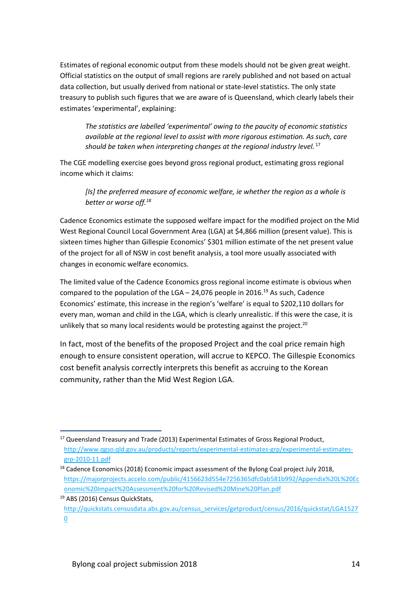Estimates of regional economic output from these models should not be given great weight. Official statistics on the output of small regions are rarely published and not based on actual data collection, but usually derived from national or state-level statistics. The only state treasury to publish such figures that we are aware of is Queensland, which clearly labels their estimates 'experimental', explaining:

*The statistics are labelled 'experimental' owing to the paucity of economic statistics available at the regional level to assist with more rigorous estimation. As such, care should be taken when interpreting changes at the regional industry level.* <sup>17</sup>

The CGE modelling exercise goes beyond gross regional product, estimating gross regional income which it claims:

*[Is] the preferred measure of economic welfare, ie whether the region as a whole is better or worse off.<sup>18</sup>*

Cadence Economics estimate the supposed welfare impact for the modified project on the Mid West Regional Council Local Government Area (LGA) at \$4,866 million (present value). This is sixteen times higher than Gillespie Economics' \$301 million estimate of the net present value of the project for all of NSW in cost benefit analysis, a tool more usually associated with changes in economic welfare economics.

The limited value of the Cadence Economics gross regional income estimate is obvious when compared to the population of the LGA  $-$  24,076 people in 2016.<sup>19</sup> As such, Cadence Economics' estimate, this increase in the region's 'welfare' is equal to \$202,110 dollars for every man, woman and child in the LGA, which is clearly unrealistic. If this were the case, it is unlikely that so many local residents would be protesting against the project.<sup>20</sup>

In fact, most of the benefits of the proposed Project and the coal price remain high enough to ensure consistent operation, will accrue to KEPCO. The Gillespie Economics cost benefit analysis correctly interprets this benefit as accruing to the Korean community, rather than the Mid West Region LGA.

<sup>1</sup> <sup>17</sup> Queensland Treasury and Trade (2013) Experimental Estimates of Gross Regional Product, [http://www.qgso.qld.gov.au/products/reports/experimental-estimates-grp/experimental-estimates](http://www.qgso.qld.gov.au/products/reports/experimental-estimates-grp/experimental-estimates-grp-2010-11.pdf)[grp-2010-11.pdf](http://www.qgso.qld.gov.au/products/reports/experimental-estimates-grp/experimental-estimates-grp-2010-11.pdf)

 $18$  Cadence Economics (2018) Economic impact assessment of the Bylong Coal project July 2018, [https://majorprojects.accelo.com/public/4156623d554e7256365dfc0ab581b992/Appendix%20L%20Ec](https://majorprojects.accelo.com/public/4156623d554e7256365dfc0ab581b992/Appendix%20L%20Economic%20Impact%20Assessment%20for%20Revised%20Mine%20Plan.pdf) [onomic%20Impact%20Assessment%20for%20Revised%20Mine%20Plan.pdf](https://majorprojects.accelo.com/public/4156623d554e7256365dfc0ab581b992/Appendix%20L%20Economic%20Impact%20Assessment%20for%20Revised%20Mine%20Plan.pdf)

<sup>19</sup> ABS (2016) Census QuickStats,

[http://quickstats.censusdata.abs.gov.au/census\\_services/getproduct/census/2016/quickstat/LGA1527](http://quickstats.censusdata.abs.gov.au/census_services/getproduct/census/2016/quickstat/LGA15270) [0](http://quickstats.censusdata.abs.gov.au/census_services/getproduct/census/2016/quickstat/LGA15270)